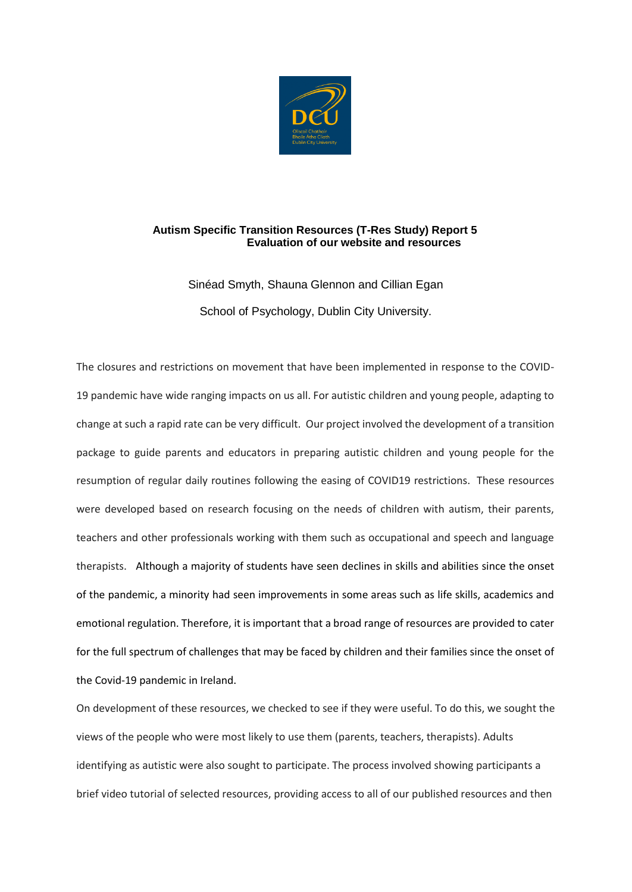

# **Autism Specific Transition Resources (T-Res Study) Report 5 Evaluation of our website and resources**

Sinéad Smyth, Shauna Glennon and Cillian Egan School of Psychology, Dublin City University.

The closures and restrictions on movement that have been implemented in response to the COVID-19 pandemic have wide ranging impacts on us all. For autistic children and young people, adapting to change at such a rapid rate can be very difficult. Our project involved the development of a transition package to guide parents and educators in preparing autistic children and young people for the resumption of regular daily routines following the easing of COVID19 restrictions. These resources were developed based on research focusing on the needs of children with autism, their parents, teachers and other professionals working with them such as occupational and speech and language therapists. Although a majority of students have seen declines in skills and abilities since the onset of the pandemic, a minority had seen improvements in some areas such as life skills, academics and emotional regulation. Therefore, it is important that a broad range of resources are provided to cater for the full spectrum of challenges that may be faced by children and their families since the onset of the Covid-19 pandemic in Ireland.

On development of these resources, we checked to see if they were useful. To do this, we sought the views of the people who were most likely to use them (parents, teachers, therapists). Adults identifying as autistic were also sought to participate. The process involved showing participants a brief video tutorial of selected resources, providing access to all of our published resources and then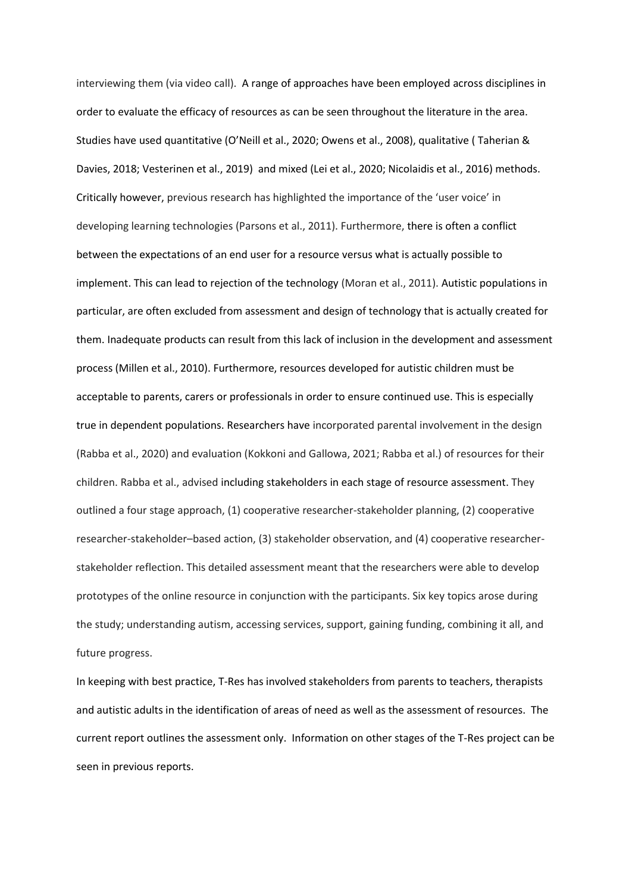interviewing them (via video call). A range of approaches have been employed across disciplines in order to evaluate the efficacy of resources as can be seen throughout the literature in the area. Studies have used quantitative (O'Neill et al., 2020; Owens et al., 2008), qualitative ( Taherian & Davies, 2018; Vesterinen et al., 2019) and mixed (Lei et al., 2020; Nicolaidis et al., 2016) methods. Critically however, previous research has highlighted the importance of the 'user voice' in developing learning technologies (Parsons et al., 2011). Furthermore, there is often a conflict between the expectations of an end user for a resource versus what is actually possible to implement. This can lead to rejection of the technology (Moran et al., 2011). Autistic populations in particular, are often excluded from assessment and design of technology that is actually created for them. Inadequate products can result from this lack of inclusion in the development and assessment process (Millen et al., 2010). Furthermore, resources developed for autistic children must be acceptable to parents, carers or professionals in order to ensure continued use. This is especially true in dependent populations. Researchers have incorporated parental involvement in the design (Rabba et al., 2020) and evaluation (Kokkoni and Gallowa, 2021; Rabba et al.) of resources for their children. Rabba et al., advised including stakeholders in each stage of resource assessment. They outlined a four stage approach, (1) cooperative researcher-stakeholder planning, (2) cooperative researcher-stakeholder–based action, (3) stakeholder observation, and (4) cooperative researcherstakeholder reflection. This detailed assessment meant that the researchers were able to develop prototypes of the online resource in conjunction with the participants. Six key topics arose during the study; understanding autism, accessing services, support, gaining funding, combining it all, and future progress.

In keeping with best practice, T-Res has involved stakeholders from parents to teachers, therapists and autistic adults in the identification of areas of need as well as the assessment of resources. The current report outlines the assessment only. Information on other stages of the T-Res project can be seen in previous reports.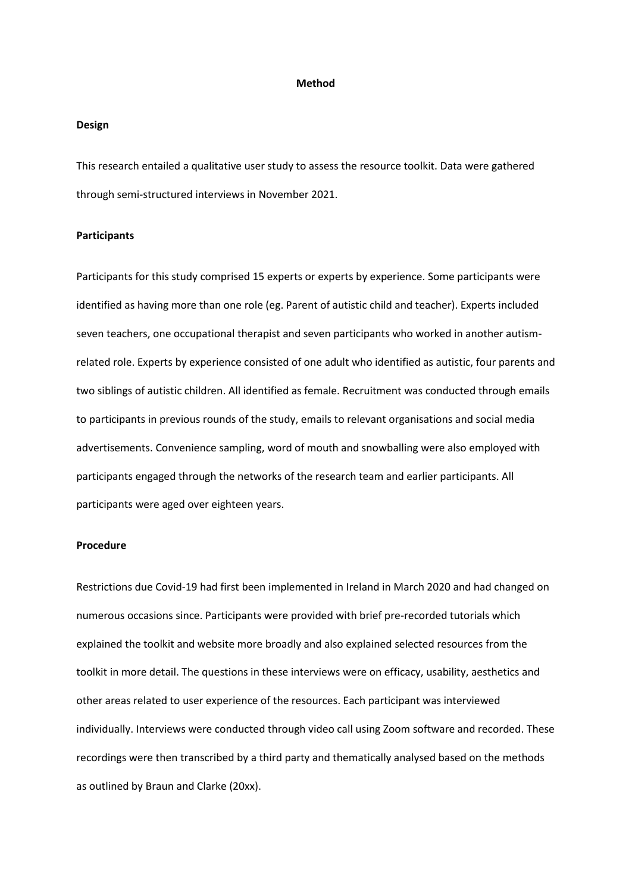#### **Method**

### **Design**

This research entailed a qualitative user study to assess the resource toolkit. Data were gathered through semi-structured interviews in November 2021.

## **Participants**

Participants for this study comprised 15 experts or experts by experience. Some participants were identified as having more than one role (eg. Parent of autistic child and teacher). Experts included seven teachers, one occupational therapist and seven participants who worked in another autismrelated role. Experts by experience consisted of one adult who identified as autistic, four parents and two siblings of autistic children. All identified as female. Recruitment was conducted through emails to participants in previous rounds of the study, emails to relevant organisations and social media advertisements. Convenience sampling, word of mouth and snowballing were also employed with participants engaged through the networks of the research team and earlier participants. All participants were aged over eighteen years.

#### **Procedure**

Restrictions due Covid-19 had first been implemented in Ireland in March 2020 and had changed on numerous occasions since. Participants were provided with brief pre-recorded tutorials which explained the toolkit and website more broadly and also explained selected resources from the toolkit in more detail. The questions in these interviews were on efficacy, usability, aesthetics and other areas related to user experience of the resources. Each participant was interviewed individually. Interviews were conducted through video call using Zoom software and recorded. These recordings were then transcribed by a third party and thematically analysed based on the methods as outlined by Braun and Clarke (20xx).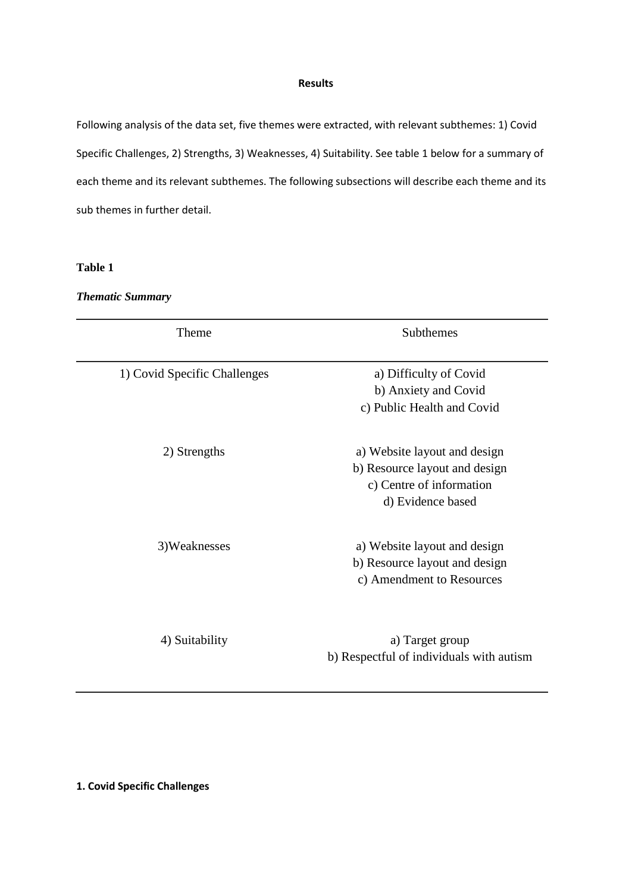### **Results**

Following analysis of the data set, five themes were extracted, with relevant subthemes: 1) Covid Specific Challenges, 2) Strengths, 3) Weaknesses, 4) Suitability. See table 1 below for a summary of each theme and its relevant subthemes. The following subsections will describe each theme and its sub themes in further detail.

**Table 1**

*Thematic Summary*

| Theme                        | Subthemes                                                                                                      |
|------------------------------|----------------------------------------------------------------------------------------------------------------|
| 1) Covid Specific Challenges | a) Difficulty of Covid<br>b) Anxiety and Covid<br>c) Public Health and Covid                                   |
| 2) Strengths                 | a) Website layout and design<br>b) Resource layout and design<br>c) Centre of information<br>d) Evidence based |
| 3) Weaknesses                | a) Website layout and design<br>b) Resource layout and design<br>c) Amendment to Resources                     |
| 4) Suitability               | a) Target group<br>b) Respectful of individuals with autism                                                    |

**1. Covid Specific Challenges**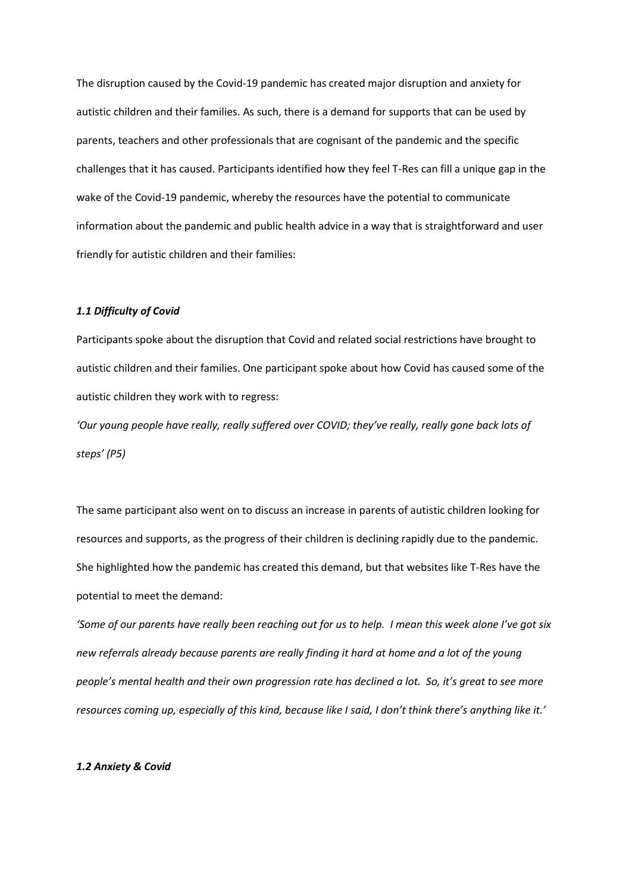The disruption caused by the Covid-19 pandemic has created major disruption and anxiety for autistic children and their families. As such, there is a demand for supports that can be used by parents, teachers and other professionals that are cognisant of the pandemic and the specific challenges that it has caused. Participants identified how they feel T-Res can fill a unique gap in the wake of the Covid-19 pandemic, whereby the resources have the potential to communicate information about the pandemic and public health advice in a way that is straightforward and user friendly for autistic children and their families:

## *1.1 Difficulty of Covid*

Participants spoke about the disruption that Covid and related social restrictions have brought to autistic children and their families. One participant spoke about how Covid has caused some of the autistic children they work with to regress:

*'Our young people have really, really suffered over COVID; they've really, really gone back lots of steps' (P5)*

The same participant also went on to discuss an increase in parents of autistic children looking for resources and supports, as the progress of their children is declining rapidly due to the pandemic. She highlighted how the pandemic has created this demand, but that websites like T-Res have the potential to meet the demand:

*'Some of our parents have really been reaching out for us to help. I mean this week alone I've got six new referrals already because parents are really finding it hard at home and a lot of the young people's mental health and their own progression rate has declined a lot. So, it's great to see more resources coming up, especially of this kind, because like I said, I don't think there's anything like it.'*

#### *1.2 Anxiety & Covid*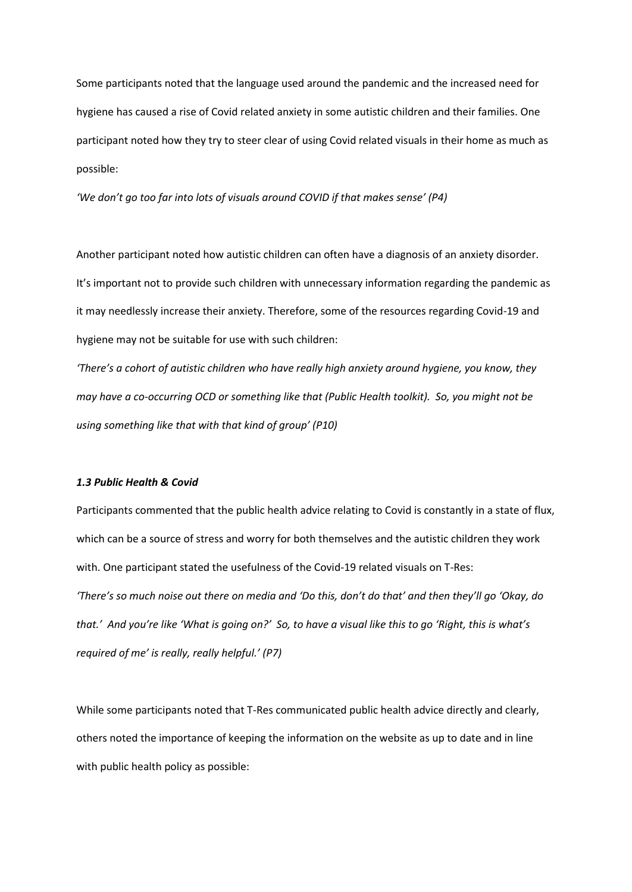Some participants noted that the language used around the pandemic and the increased need for hygiene has caused a rise of Covid related anxiety in some autistic children and their families. One participant noted how they try to steer clear of using Covid related visuals in their home as much as possible:

*'We don't go too far into lots of visuals around COVID if that makes sense' (P4)*

Another participant noted how autistic children can often have a diagnosis of an anxiety disorder. It's important not to provide such children with unnecessary information regarding the pandemic as it may needlessly increase their anxiety. Therefore, some of the resources regarding Covid-19 and hygiene may not be suitable for use with such children:

*'There's a cohort of autistic children who have really high anxiety around hygiene, you know, they may have a co-occurring OCD or something like that (Public Health toolkit). So, you might not be using something like that with that kind of group' (P10)*

## *1.3 Public Health & Covid*

Participants commented that the public health advice relating to Covid is constantly in a state of flux, which can be a source of stress and worry for both themselves and the autistic children they work with. One participant stated the usefulness of the Covid-19 related visuals on T-Res: *'There's so much noise out there on media and 'Do this, don't do that' and then they'll go 'Okay, do that.' And you're like 'What is going on?' So, to have a visual like this to go 'Right, this is what's required of me' is really, really helpful.' (P7)*

While some participants noted that T-Res communicated public health advice directly and clearly, others noted the importance of keeping the information on the website as up to date and in line with public health policy as possible: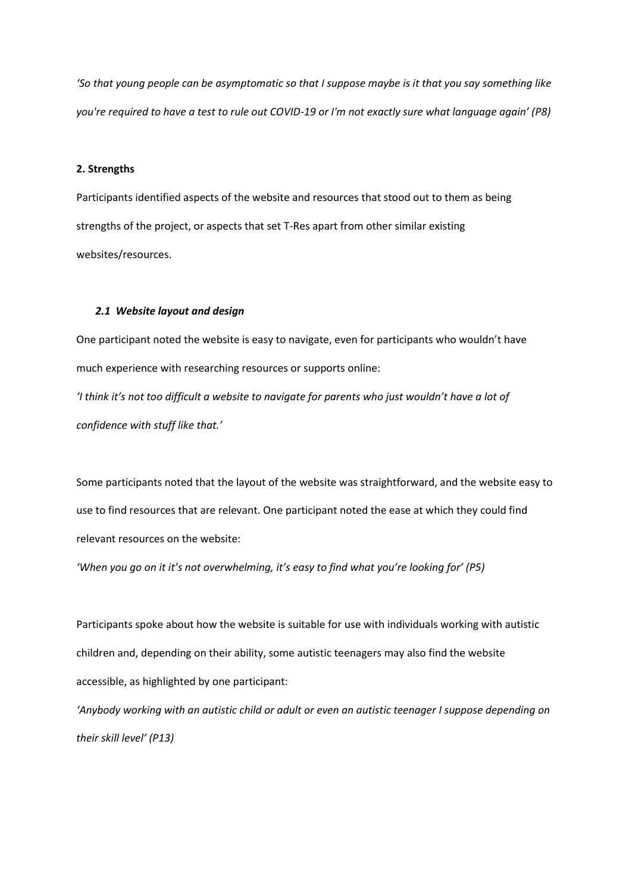*'So that young people can be asymptomatic so that I suppose maybe is it that you say something like you're required to have a test to rule out COVID-19 or I'm not exactly sure what language again' (P8)*

## **2. Strengths**

Participants identified aspects of the website and resources that stood out to them as being strengths of the project, or aspects that set T-Res apart from other similar existing websites/resources.

#### *2.1 Website layout and design*

One participant noted the website is easy to navigate, even for participants who wouldn't have much experience with researching resources or supports online:

*'I think it's not too difficult a website to navigate for parents who just wouldn't have a lot of confidence with stuff like that.'*

Some participants noted that the layout of the website was straightforward, and the website easy to use to find resources that are relevant. One participant noted the ease at which they could find relevant resources on the website:

*'When you go on it it's not overwhelming, it's easy to find what you're looking for' (P5)*

Participants spoke about how the website is suitable for use with individuals working with autistic children and, depending on their ability, some autistic teenagers may also find the website accessible, as highlighted by one participant:

*'Anybody working with an autistic child or adult or even an autistic teenager I suppose depending on their skill level' (P13)*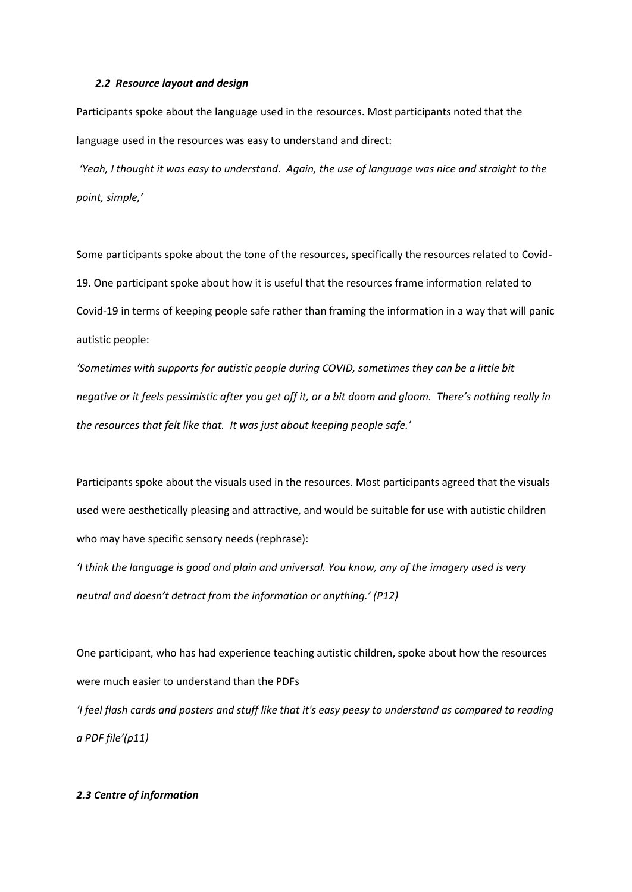#### *2.2 Resource layout and design*

Participants spoke about the language used in the resources. Most participants noted that the language used in the resources was easy to understand and direct:

*'Yeah, I thought it was easy to understand. Again, the use of language was nice and straight to the point, simple,'*

Some participants spoke about the tone of the resources, specifically the resources related to Covid-19. One participant spoke about how it is useful that the resources frame information related to Covid-19 in terms of keeping people safe rather than framing the information in a way that will panic autistic people:

*'Sometimes with supports for autistic people during COVID, sometimes they can be a little bit negative or it feels pessimistic after you get off it, or a bit doom and gloom. There's nothing really in the resources that felt like that. It was just about keeping people safe.'*

Participants spoke about the visuals used in the resources. Most participants agreed that the visuals used were aesthetically pleasing and attractive, and would be suitable for use with autistic children who may have specific sensory needs (rephrase):

*'I think the language is good and plain and universal. You know, any of the imagery used is very neutral and doesn't detract from the information or anything.' (P12)*

One participant, who has had experience teaching autistic children, spoke about how the resources were much easier to understand than the PDFs

*'I feel flash cards and posters and stuff like that it's easy peesy to understand as compared to reading a PDF file'(p11)*

#### *2.3 Centre of information*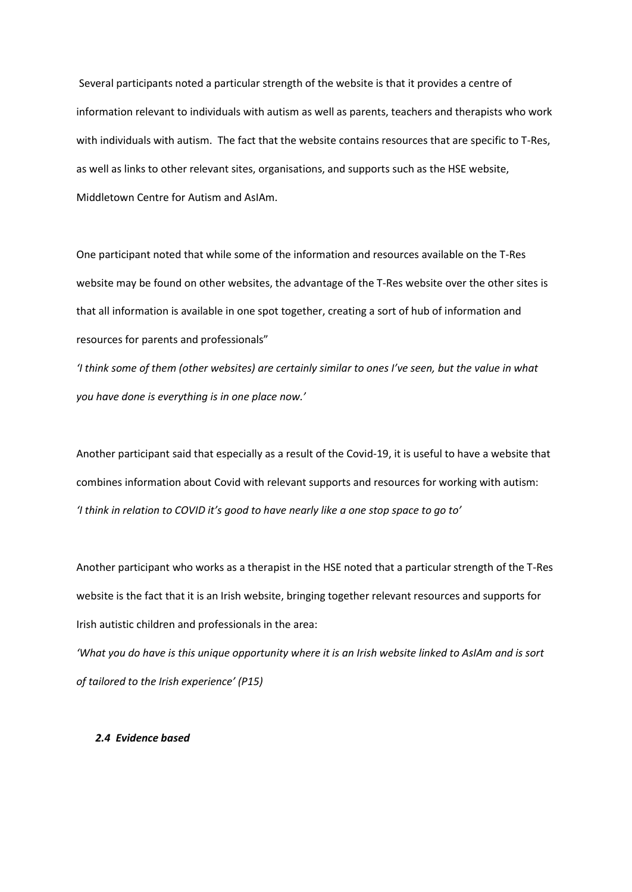Several participants noted a particular strength of the website is that it provides a centre of information relevant to individuals with autism as well as parents, teachers and therapists who work with individuals with autism. The fact that the website contains resources that are specific to T-Res, as well as links to other relevant sites, organisations, and supports such as the HSE website, Middletown Centre for Autism and AsIAm.

One participant noted that while some of the information and resources available on the T-Res website may be found on other websites, the advantage of the T-Res website over the other sites is that all information is available in one spot together, creating a sort of hub of information and resources for parents and professionals"

*'I think some of them (other websites) are certainly similar to ones I've seen, but the value in what you have done is everything is in one place now.'*

Another participant said that especially as a result of the Covid-19, it is useful to have a website that combines information about Covid with relevant supports and resources for working with autism: *'I think in relation to COVID it's good to have nearly like a one stop space to go to'*

Another participant who works as a therapist in the HSE noted that a particular strength of the T-Res website is the fact that it is an Irish website, bringing together relevant resources and supports for Irish autistic children and professionals in the area:

*'What you do have is this unique opportunity where it is an Irish website linked to AsIAm and is sort of tailored to the Irish experience' (P15)*

## *2.4 Evidence based*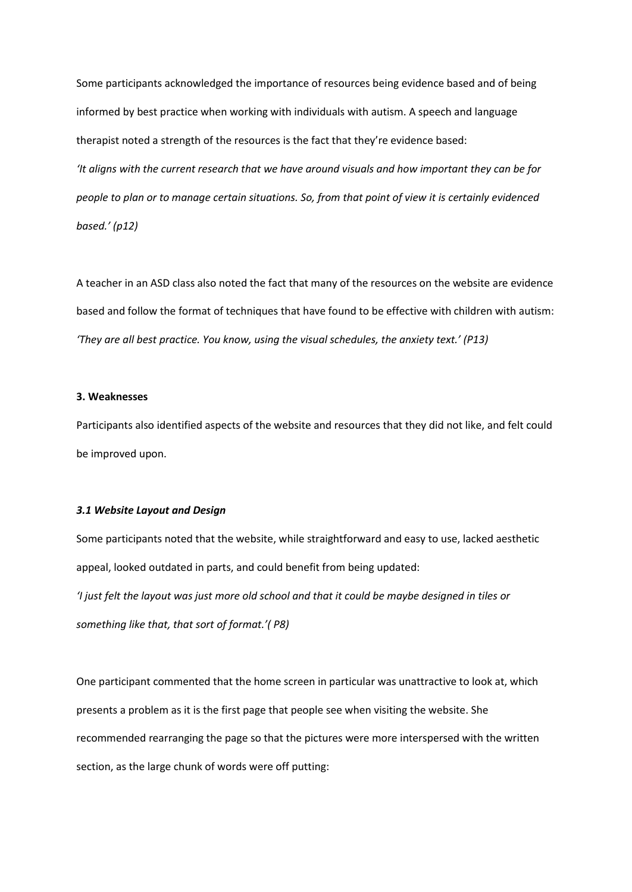Some participants acknowledged the importance of resources being evidence based and of being informed by best practice when working with individuals with autism. A speech and language therapist noted a strength of the resources is the fact that they're evidence based: *'It aligns with the current research that we have around visuals and how important they can be for people to plan or to manage certain situations. So, from that point of view it is certainly evidenced based.' (p12)*

A teacher in an ASD class also noted the fact that many of the resources on the website are evidence based and follow the format of techniques that have found to be effective with children with autism: *'They are all best practice. You know, using the visual schedules, the anxiety text.' (P13)*

## **3. Weaknesses**

Participants also identified aspects of the website and resources that they did not like, and felt could be improved upon.

#### *3.1 Website Layout and Design*

Some participants noted that the website, while straightforward and easy to use, lacked aesthetic appeal, looked outdated in parts, and could benefit from being updated: *'I just felt the layout was just more old school and that it could be maybe designed in tiles or* 

*something like that, that sort of format.'( P8)*

One participant commented that the home screen in particular was unattractive to look at, which presents a problem as it is the first page that people see when visiting the website. She recommended rearranging the page so that the pictures were more interspersed with the written section, as the large chunk of words were off putting: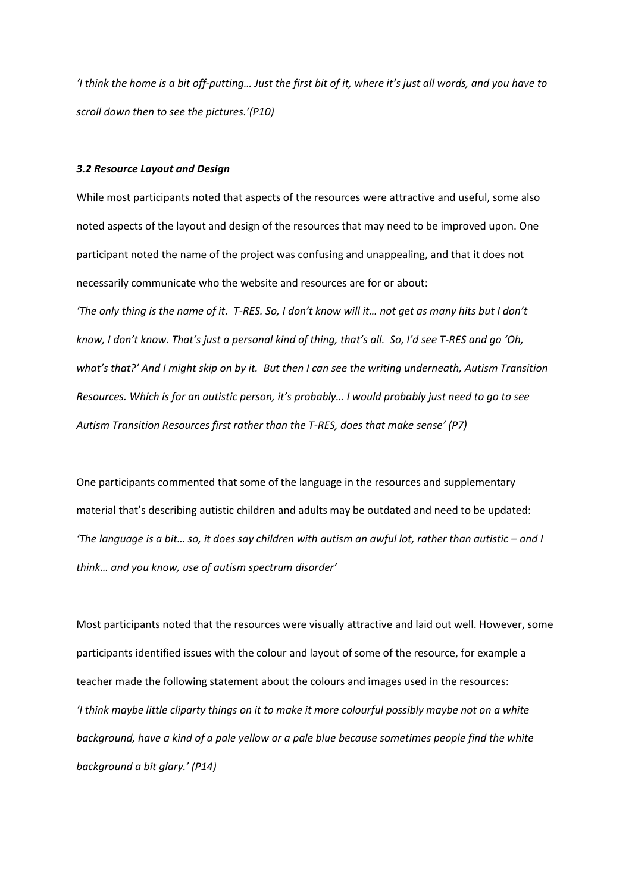*'I think the home is a bit off-putting… Just the first bit of it, where it's just all words, and you have to scroll down then to see the pictures.'(P10)*

## *3.2 Resource Layout and Design*

While most participants noted that aspects of the resources were attractive and useful, some also noted aspects of the layout and design of the resources that may need to be improved upon. One participant noted the name of the project was confusing and unappealing, and that it does not necessarily communicate who the website and resources are for or about: *'The only thing is the name of it. T-RES. So, I don't know will it… not get as many hits but I don't know, I don't know. That's just a personal kind of thing, that's all. So, I'd see T-RES and go 'Oh, what's that?' And I might skip on by it. But then I can see the writing underneath, Autism Transition Resources. Which is for an autistic person, it's probably… I would probably just need to go to see Autism Transition Resources first rather than the T-RES, does that make sense' (P7)*

One participants commented that some of the language in the resources and supplementary material that's describing autistic children and adults may be outdated and need to be updated: *'The language is a bit… so, it does say children with autism an awful lot, rather than autistic – and I think… and you know, use of autism spectrum disorder'*

Most participants noted that the resources were visually attractive and laid out well. However, some participants identified issues with the colour and layout of some of the resource, for example a teacher made the following statement about the colours and images used in the resources: *'I think maybe little cliparty things on it to make it more colourful possibly maybe not on a white background, have a kind of a pale yellow or a pale blue because sometimes people find the white background a bit glary.' (P14)*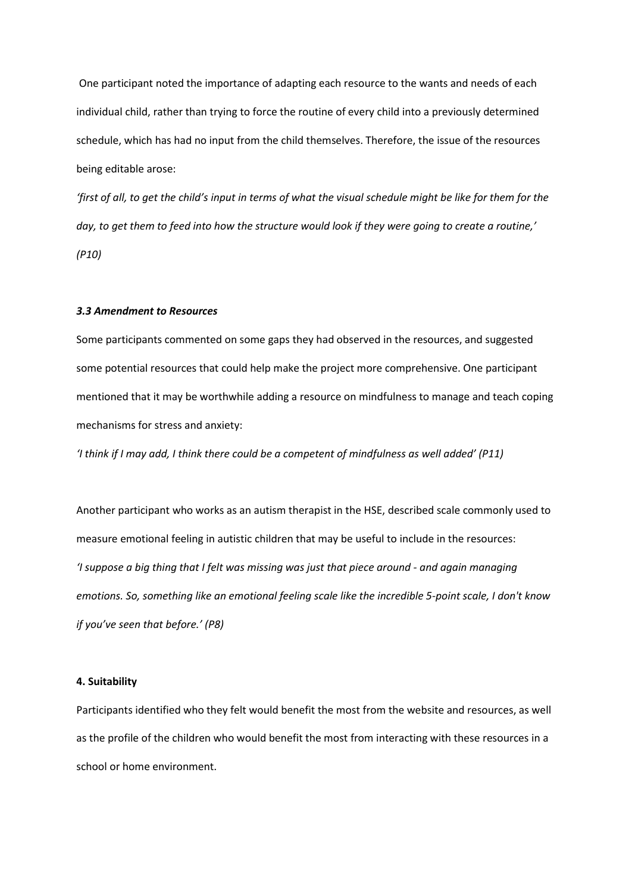One participant noted the importance of adapting each resource to the wants and needs of each individual child, rather than trying to force the routine of every child into a previously determined schedule, which has had no input from the child themselves. Therefore, the issue of the resources being editable arose:

*'first of all, to get the child's input in terms of what the visual schedule might be like for them for the day, to get them to feed into how the structure would look if they were going to create a routine,' (P10)*

#### *3.3 Amendment to Resources*

Some participants commented on some gaps they had observed in the resources, and suggested some potential resources that could help make the project more comprehensive. One participant mentioned that it may be worthwhile adding a resource on mindfulness to manage and teach coping mechanisms for stress and anxiety:

*'I think if I may add, I think there could be a competent of mindfulness as well added' (P11)*

Another participant who works as an autism therapist in the HSE, described scale commonly used to measure emotional feeling in autistic children that may be useful to include in the resources: *'I suppose a big thing that I felt was missing was just that piece around - and again managing emotions. So, something like an emotional feeling scale like the incredible 5-point scale, I don't know if you've seen that before.' (P8)*

## **4. Suitability**

Participants identified who they felt would benefit the most from the website and resources, as well as the profile of the children who would benefit the most from interacting with these resources in a school or home environment.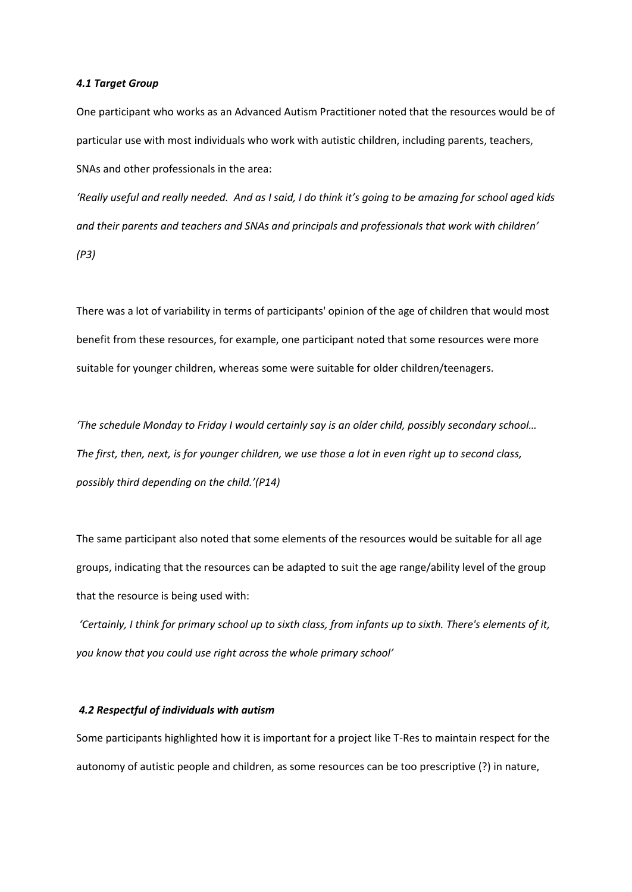#### *4.1 Target Group*

One participant who works as an Advanced Autism Practitioner noted that the resources would be of particular use with most individuals who work with autistic children, including parents, teachers, SNAs and other professionals in the area:

*'Really useful and really needed. And as I said, I do think it's going to be amazing for school aged kids and their parents and teachers and SNAs and principals and professionals that work with children' (P3)*

There was a lot of variability in terms of participants' opinion of the age of children that would most benefit from these resources, for example, one participant noted that some resources were more suitable for younger children, whereas some were suitable for older children/teenagers.

*'The schedule Monday to Friday I would certainly say is an older child, possibly secondary school… The first, then, next, is for younger children, we use those a lot in even right up to second class, possibly third depending on the child.'(P14)*

The same participant also noted that some elements of the resources would be suitable for all age groups, indicating that the resources can be adapted to suit the age range/ability level of the group that the resource is being used with:

*'Certainly, I think for primary school up to sixth class, from infants up to sixth. There's elements of it, you know that you could use right across the whole primary school'*

#### *4.2 Respectful of individuals with autism*

Some participants highlighted how it is important for a project like T-Res to maintain respect for the autonomy of autistic people and children, as some resources can be too prescriptive (?) in nature,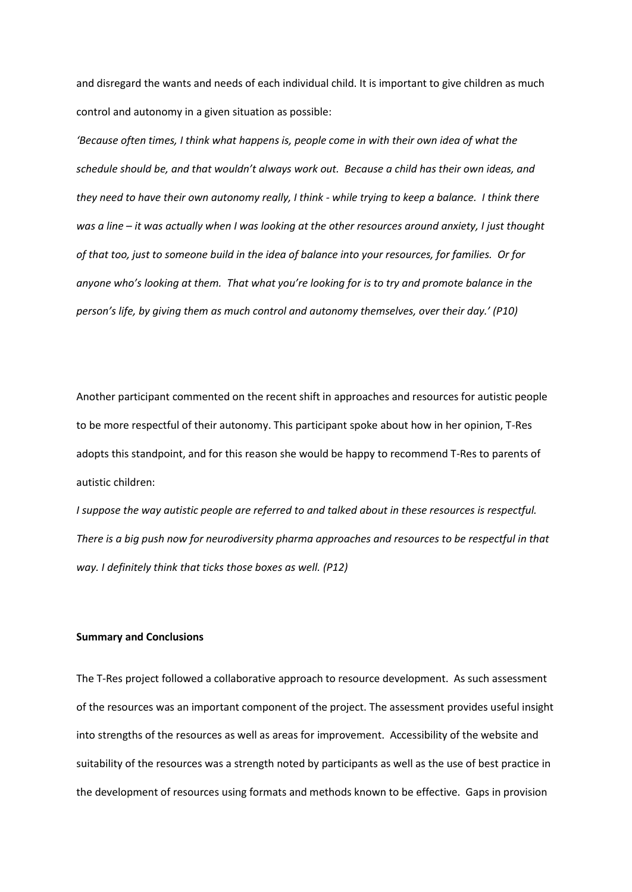and disregard the wants and needs of each individual child. It is important to give children as much control and autonomy in a given situation as possible:

*'Because often times, I think what happens is, people come in with their own idea of what the schedule should be, and that wouldn't always work out. Because a child has their own ideas, and they need to have their own autonomy really, I think - while trying to keep a balance. I think there was a line – it was actually when I was looking at the other resources around anxiety, I just thought of that too, just to someone build in the idea of balance into your resources, for families. Or for anyone who's looking at them. That what you're looking for is to try and promote balance in the person's life, by giving them as much control and autonomy themselves, over their day.' (P10)*

Another participant commented on the recent shift in approaches and resources for autistic people to be more respectful of their autonomy. This participant spoke about how in her opinion, T-Res adopts this standpoint, and for this reason she would be happy to recommend T-Res to parents of autistic children:

*I suppose the way autistic people are referred to and talked about in these resources is respectful. There is a big push now for neurodiversity pharma approaches and resources to be respectful in that way. I definitely think that ticks those boxes as well. (P12)*

## **Summary and Conclusions**

The T-Res project followed a collaborative approach to resource development. As such assessment of the resources was an important component of the project. The assessment provides useful insight into strengths of the resources as well as areas for improvement. Accessibility of the website and suitability of the resources was a strength noted by participants as well as the use of best practice in the development of resources using formats and methods known to be effective. Gaps in provision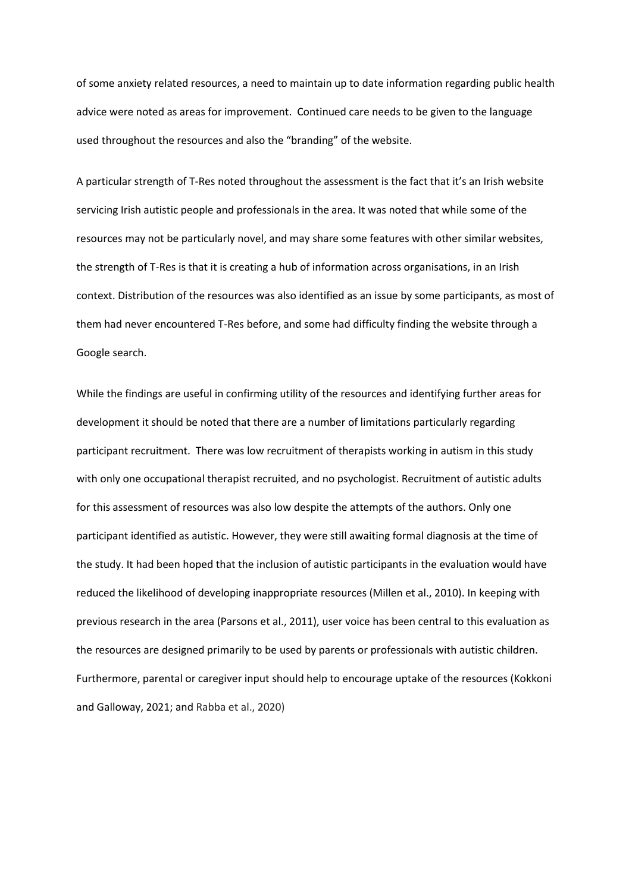of some anxiety related resources, a need to maintain up to date information regarding public health advice were noted as areas for improvement. Continued care needs to be given to the language used throughout the resources and also the "branding" of the website.

A particular strength of T-Res noted throughout the assessment is the fact that it's an Irish website servicing Irish autistic people and professionals in the area. It was noted that while some of the resources may not be particularly novel, and may share some features with other similar websites, the strength of T-Res is that it is creating a hub of information across organisations, in an Irish context. Distribution of the resources was also identified as an issue by some participants, as most of them had never encountered T-Res before, and some had difficulty finding the website through a Google search.

While the findings are useful in confirming utility of the resources and identifying further areas for development it should be noted that there are a number of limitations particularly regarding participant recruitment. There was low recruitment of therapists working in autism in this study with only one occupational therapist recruited, and no psychologist. Recruitment of autistic adults for this assessment of resources was also low despite the attempts of the authors. Only one participant identified as autistic. However, they were still awaiting formal diagnosis at the time of the study. It had been hoped that the inclusion of autistic participants in the evaluation would have reduced the likelihood of developing inappropriate resources (Millen et al., 2010). In keeping with previous research in the area (Parsons et al., 2011), user voice has been central to this evaluation as the resources are designed primarily to be used by parents or professionals with autistic children. Furthermore, parental or caregiver input should help to encourage uptake of the resources (Kokkoni and Galloway, 2021; and Rabba et al., 2020)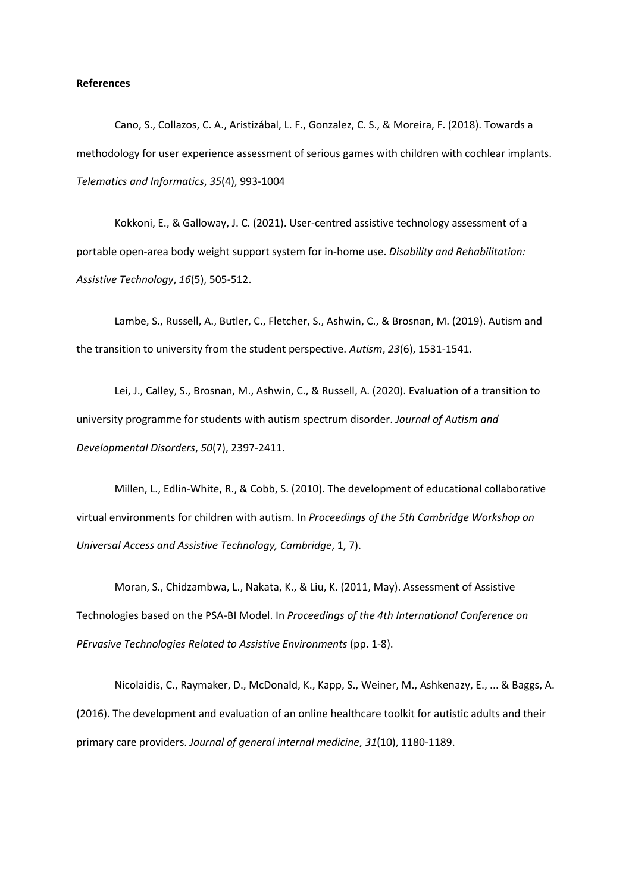#### **References**

Cano, S., Collazos, C. A., Aristizábal, L. F., Gonzalez, C. S., & Moreira, F. (2018). Towards a methodology for user experience assessment of serious games with children with cochlear implants. *Telematics and Informatics*, *35*(4), 993-1004

Kokkoni, E., & Galloway, J. C. (2021). User-centred assistive technology assessment of a portable open-area body weight support system for in-home use. *Disability and Rehabilitation: Assistive Technology*, *16*(5), 505-512.

Lambe, S., Russell, A., Butler, C., Fletcher, S., Ashwin, C., & Brosnan, M. (2019). Autism and the transition to university from the student perspective. *Autism*, *23*(6), 1531-1541.

Lei, J., Calley, S., Brosnan, M., Ashwin, C., & Russell, A. (2020). Evaluation of a transition to university programme for students with autism spectrum disorder. *Journal of Autism and Developmental Disorders*, *50*(7), 2397-2411.

Millen, L., Edlin-White, R., & Cobb, S. (2010). The development of educational collaborative virtual environments for children with autism. In *Proceedings of the 5th Cambridge Workshop on Universal Access and Assistive Technology, Cambridge*, 1, 7).

Moran, S., Chidzambwa, L., Nakata, K., & Liu, K. (2011, May). Assessment of Assistive Technologies based on the PSA-BI Model. In *Proceedings of the 4th International Conference on PErvasive Technologies Related to Assistive Environments* (pp. 1-8).

Nicolaidis, C., Raymaker, D., McDonald, K., Kapp, S., Weiner, M., Ashkenazy, E., ... & Baggs, A. (2016). The development and evaluation of an online healthcare toolkit for autistic adults and their primary care providers. *Journal of general internal medicine*, *31*(10), 1180-1189.